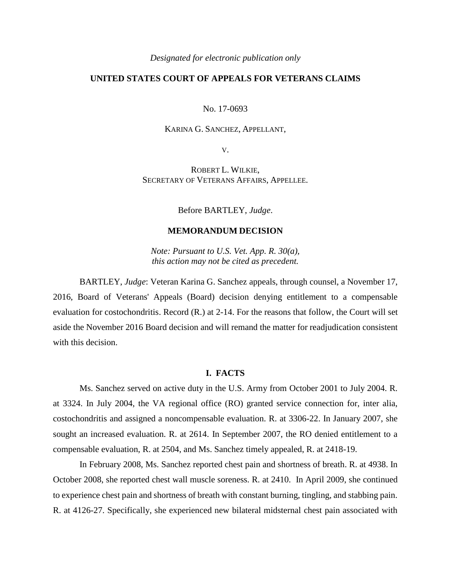*Designated for electronic publication only*

# **UNITED STATES COURT OF APPEALS FOR VETERANS CLAIMS**

No. 17-0693

## KARINA G. SANCHEZ, APPELLANT,

V.

ROBERT L. WILKIE, SECRETARY OF VETERANS AFFAIRS, APPELLEE.

Before BARTLEY, *Judge*.

## **MEMORANDUM DECISION**

*Note: Pursuant to U.S. Vet. App. R. 30(a), this action may not be cited as precedent.*

BARTLEY, *Judge*: Veteran Karina G. Sanchez appeals, through counsel, a November 17, 2016, Board of Veterans' Appeals (Board) decision denying entitlement to a compensable evaluation for costochondritis. Record (R.) at 2-14. For the reasons that follow, the Court will set aside the November 2016 Board decision and will remand the matter for readjudication consistent with this decision.

## **I. FACTS**

Ms. Sanchez served on active duty in the U.S. Army from October 2001 to July 2004. R. at 3324. In July 2004, the VA regional office (RO) granted service connection for, inter alia, costochondritis and assigned a noncompensable evaluation. R. at 3306-22. In January 2007, she sought an increased evaluation. R. at 2614. In September 2007, the RO denied entitlement to a compensable evaluation, R. at 2504, and Ms. Sanchez timely appealed, R. at 2418-19.

In February 2008, Ms. Sanchez reported chest pain and shortness of breath. R. at 4938. In October 2008, she reported chest wall muscle soreness. R. at 2410. In April 2009, she continued to experience chest pain and shortness of breath with constant burning, tingling, and stabbing pain. R. at 4126-27. Specifically, she experienced new bilateral midsternal chest pain associated with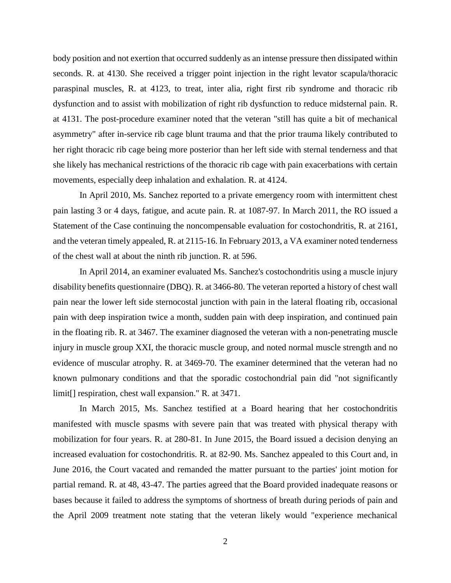body position and not exertion that occurred suddenly as an intense pressure then dissipated within seconds. R. at 4130. She received a trigger point injection in the right levator scapula/thoracic paraspinal muscles, R. at 4123, to treat, inter alia, right first rib syndrome and thoracic rib dysfunction and to assist with mobilization of right rib dysfunction to reduce midsternal pain. R. at 4131. The post-procedure examiner noted that the veteran "still has quite a bit of mechanical asymmetry" after in-service rib cage blunt trauma and that the prior trauma likely contributed to her right thoracic rib cage being more posterior than her left side with sternal tenderness and that she likely has mechanical restrictions of the thoracic rib cage with pain exacerbations with certain movements, especially deep inhalation and exhalation. R. at 4124.

In April 2010, Ms. Sanchez reported to a private emergency room with intermittent chest pain lasting 3 or 4 days, fatigue, and acute pain. R. at 1087-97. In March 2011, the RO issued a Statement of the Case continuing the noncompensable evaluation for costochondritis, R. at 2161, and the veteran timely appealed, R. at 2115-16. In February 2013, a VA examiner noted tenderness of the chest wall at about the ninth rib junction. R. at 596.

In April 2014, an examiner evaluated Ms. Sanchez's costochondritis using a muscle injury disability benefits questionnaire (DBQ). R. at 3466-80. The veteran reported a history of chest wall pain near the lower left side sternocostal junction with pain in the lateral floating rib, occasional pain with deep inspiration twice a month, sudden pain with deep inspiration, and continued pain in the floating rib. R. at 3467. The examiner diagnosed the veteran with a non-penetrating muscle injury in muscle group XXI, the thoracic muscle group, and noted normal muscle strength and no evidence of muscular atrophy. R. at 3469-70. The examiner determined that the veteran had no known pulmonary conditions and that the sporadic costochondrial pain did "not significantly limit[] respiration, chest wall expansion." R. at 3471.

In March 2015, Ms. Sanchez testified at a Board hearing that her costochondritis manifested with muscle spasms with severe pain that was treated with physical therapy with mobilization for four years. R. at 280-81. In June 2015, the Board issued a decision denying an increased evaluation for costochondritis. R. at 82-90. Ms. Sanchez appealed to this Court and, in June 2016, the Court vacated and remanded the matter pursuant to the parties' joint motion for partial remand. R. at 48, 43-47. The parties agreed that the Board provided inadequate reasons or bases because it failed to address the symptoms of shortness of breath during periods of pain and the April 2009 treatment note stating that the veteran likely would "experience mechanical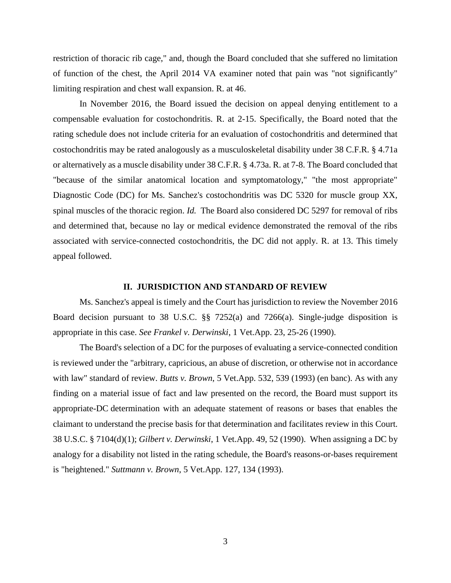restriction of thoracic rib cage," and, though the Board concluded that she suffered no limitation of function of the chest, the April 2014 VA examiner noted that pain was "not significantly" limiting respiration and chest wall expansion. R. at 46.

In November 2016, the Board issued the decision on appeal denying entitlement to a compensable evaluation for costochondritis. R. at 2-15. Specifically, the Board noted that the rating schedule does not include criteria for an evaluation of costochondritis and determined that costochondritis may be rated analogously as a musculoskeletal disability under 38 C.F.R. § 4.71a or alternatively as a muscle disability under 38 C.F.R. § 4.73a. R. at 7-8. The Board concluded that "because of the similar anatomical location and symptomatology," "the most appropriate" Diagnostic Code (DC) for Ms. Sanchez's costochondritis was DC 5320 for muscle group XX, spinal muscles of the thoracic region. *Id.* The Board also considered DC 5297 for removal of ribs and determined that, because no lay or medical evidence demonstrated the removal of the ribs associated with service-connected costochondritis, the DC did not apply. R. at 13. This timely appeal followed.

## **II. JURISDICTION AND STANDARD OF REVIEW**

Ms. Sanchez's appeal is timely and the Court has jurisdiction to review the November 2016 Board decision pursuant to 38 U.S.C. §§ 7252(a) and 7266(a). Single-judge disposition is appropriate in this case. *See Frankel v. Derwinski*, 1 Vet.App. 23, 25-26 (1990).

The Board's selection of a DC for the purposes of evaluating a service-connected condition is reviewed under the "arbitrary, capricious, an abuse of discretion, or otherwise not in accordance with law" standard of review. *Butts v. Brown*, 5 Vet.App. 532, 539 (1993) (en banc). As with any finding on a material issue of fact and law presented on the record, the Board must support its appropriate-DC determination with an adequate statement of reasons or bases that enables the claimant to understand the precise basis for that determination and facilitates review in this Court. 38 U.S.C. § 7104(d)(1); *Gilbert v. Derwinski*, 1 Vet.App. 49, 52 (1990). When assigning a DC by analogy for a disability not listed in the rating schedule, the Board's reasons-or-bases requirement is "heightened." *Suttmann v. Brown*, 5 Vet.App. 127, 134 (1993).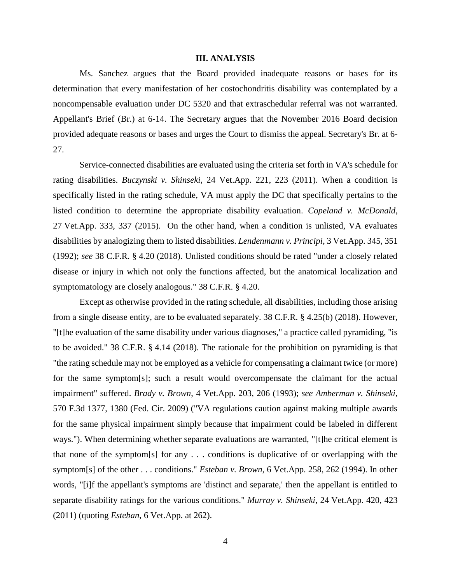#### **III. ANALYSIS**

Ms. Sanchez argues that the Board provided inadequate reasons or bases for its determination that every manifestation of her costochondritis disability was contemplated by a noncompensable evaluation under DC 5320 and that extraschedular referral was not warranted. Appellant's Brief (Br.) at 6-14. The Secretary argues that the November 2016 Board decision provided adequate reasons or bases and urges the Court to dismiss the appeal. Secretary's Br. at 6- 27.

Service-connected disabilities are evaluated using the criteria set forth in VA's schedule for rating disabilities. *Buczynski v. Shinseki*, 24 Vet.App. 221, 223 (2011). When a condition is specifically listed in the rating schedule, VA must apply the DC that specifically pertains to the listed condition to determine the appropriate disability evaluation. *Copeland v. McDonald*, 27 Vet.App. 333, 337 (2015). On the other hand, when a condition is unlisted, VA evaluates disabilities by analogizing them to listed disabilities. *Lendenmann v. Principi*, 3 Vet.App. 345, 351 (1992); *see* 38 C.F.R. § 4.20 (2018). Unlisted conditions should be rated "under a closely related disease or injury in which not only the functions affected, but the anatomical localization and symptomatology are closely analogous." 38 C.F.R. § 4.20.

Except as otherwise provided in the rating schedule, all disabilities, including those arising from a single disease entity, are to be evaluated separately. 38 C.F.R. § 4.25(b) (2018). However, "[t]he evaluation of the same disability under various diagnoses," a practice called pyramiding, "is to be avoided." 38 C.F.R. § 4.14 (2018). The rationale for the prohibition on pyramiding is that "the rating schedule may not be employed as a vehicle for compensating a claimant twice (or more) for the same symptom[s]; such a result would overcompensate the claimant for the actual impairment" suffered. *Brady v. Brown*, 4 Vet.App. 203, 206 (1993); *see Amberman v. Shinseki*, 570 F.3d 1377, 1380 (Fed. Cir. 2009) ("VA regulations caution against making multiple awards for the same physical impairment simply because that impairment could be labeled in different ways."). When determining whether separate evaluations are warranted, "[t]he critical element is that none of the symptom[s] for any . . . conditions is duplicative of or overlapping with the symptom[s] of the other . . . conditions." *Esteban v. Brown*, 6 Vet.App. 258, 262 (1994). In other words, "[i]f the appellant's symptoms are 'distinct and separate,' then the appellant is entitled to separate disability ratings for the various conditions." *Murray v. Shinseki*, 24 Vet.App. 420, 423 (2011) (quoting *Esteban*, 6 Vet.App. at 262).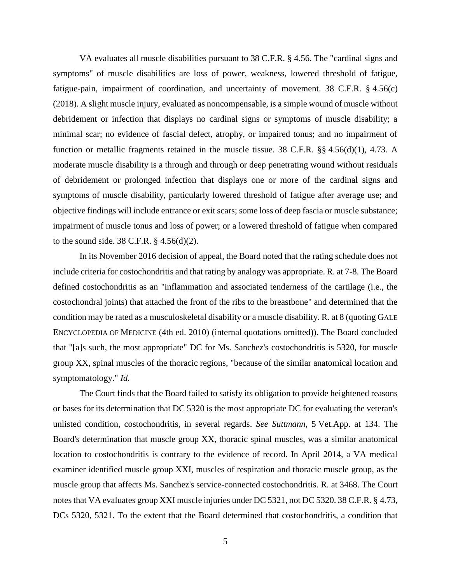VA evaluates all muscle disabilities pursuant to 38 C.F.R. § 4.56. The "cardinal signs and symptoms" of muscle disabilities are loss of power, weakness, lowered threshold of fatigue, fatigue-pain, impairment of coordination, and uncertainty of movement. 38 C.F.R. § 4.56(c) (2018). A slight muscle injury, evaluated as noncompensable, is a simple wound of muscle without debridement or infection that displays no cardinal signs or symptoms of muscle disability; a minimal scar; no evidence of fascial defect, atrophy, or impaired tonus; and no impairment of function or metallic fragments retained in the muscle tissue. 38 C.F.R. §§ 4.56(d)(1), 4.73. A moderate muscle disability is a through and through or deep penetrating wound without residuals of debridement or prolonged infection that displays one or more of the cardinal signs and symptoms of muscle disability, particularly lowered threshold of fatigue after average use; and objective findings will include entrance or exit scars; some loss of deep fascia or muscle substance; impairment of muscle tonus and loss of power; or a lowered threshold of fatigue when compared to the sound side. 38 C.F.R. § 4.56(d)(2).

In its November 2016 decision of appeal, the Board noted that the rating schedule does not include criteria for costochondritis and that rating by analogy was appropriate. R. at 7-8. The Board defined costochondritis as an "inflammation and associated tenderness of the cartilage (i.e., the costochondral joints) that attached the front of the ribs to the breastbone" and determined that the condition may be rated as a musculoskeletal disability or a muscle disability. R. at 8 (quoting GALE ENCYCLOPEDIA OF MEDICINE (4th ed. 2010) (internal quotations omitted)). The Board concluded that "[a]s such, the most appropriate" DC for Ms. Sanchez's costochondritis is 5320, for muscle group XX, spinal muscles of the thoracic regions, "because of the similar anatomical location and symptomatology." *Id.*

The Court finds that the Board failed to satisfy its obligation to provide heightened reasons or bases for its determination that DC 5320 is the most appropriate DC for evaluating the veteran's unlisted condition, costochondritis, in several regards. *See Suttmann*, 5 Vet.App. at 134. The Board's determination that muscle group XX, thoracic spinal muscles, was a similar anatomical location to costochondritis is contrary to the evidence of record. In April 2014, a VA medical examiner identified muscle group XXI, muscles of respiration and thoracic muscle group, as the muscle group that affects Ms. Sanchez's service-connected costochondritis. R. at 3468. The Court notes that VA evaluates group XXI muscle injuries under DC 5321, not DC 5320. 38 C.F.R. § 4.73, DCs 5320, 5321. To the extent that the Board determined that costochondritis, a condition that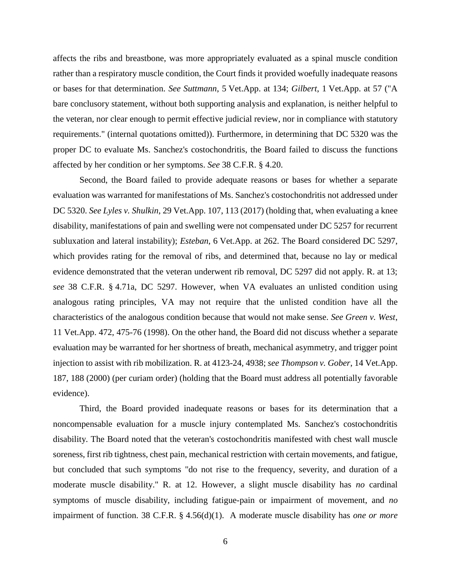affects the ribs and breastbone, was more appropriately evaluated as a spinal muscle condition rather than a respiratory muscle condition, the Court finds it provided woefully inadequate reasons or bases for that determination. *See Suttmann*, 5 Vet.App. at 134; *Gilbert*, 1 Vet.App. at 57 ("A bare conclusory statement, without both supporting analysis and explanation, is neither helpful to the veteran, nor clear enough to permit effective judicial review, nor in compliance with statutory requirements." (internal quotations omitted)). Furthermore, in determining that DC 5320 was the proper DC to evaluate Ms. Sanchez's costochondritis, the Board failed to discuss the functions affected by her condition or her symptoms. *See* 38 C.F.R. § 4.20.

Second, the Board failed to provide adequate reasons or bases for whether a separate evaluation was warranted for manifestations of Ms. Sanchez's costochondritis not addressed under DC 5320. *See Lyles v. Shulkin*, 29 Vet.App. 107, 113 (2017) (holding that, when evaluating a knee disability, manifestations of pain and swelling were not compensated under DC 5257 for recurrent subluxation and lateral instability); *Esteban*, 6 Vet.App. at 262. The Board considered DC 5297, which provides rating for the removal of ribs, and determined that, because no lay or medical evidence demonstrated that the veteran underwent rib removal, DC 5297 did not apply. R. at 13; *see* 38 C.F.R. § 4.71a, DC 5297. However, when VA evaluates an unlisted condition using analogous rating principles, VA may not require that the unlisted condition have all the characteristics of the analogous condition because that would not make sense. *See Green v. West*, 11 Vet.App. 472, 475-76 (1998). On the other hand, the Board did not discuss whether a separate evaluation may be warranted for her shortness of breath, mechanical asymmetry, and trigger point injection to assist with rib mobilization. R. at 4123-24, 4938; *see Thompson v. Gober*, 14 Vet.App. 187, 188 (2000) (per curiam order) (holding that the Board must address all potentially favorable evidence).

Third, the Board provided inadequate reasons or bases for its determination that a noncompensable evaluation for a muscle injury contemplated Ms. Sanchez's costochondritis disability. The Board noted that the veteran's costochondritis manifested with chest wall muscle soreness, first rib tightness, chest pain, mechanical restriction with certain movements, and fatigue, but concluded that such symptoms "do not rise to the frequency, severity, and duration of a moderate muscle disability." R. at 12. However, a slight muscle disability has *no* cardinal symptoms of muscle disability, including fatigue-pain or impairment of movement, and *no* impairment of function. 38 C.F.R. § 4.56(d)(1). A moderate muscle disability has *one or more*